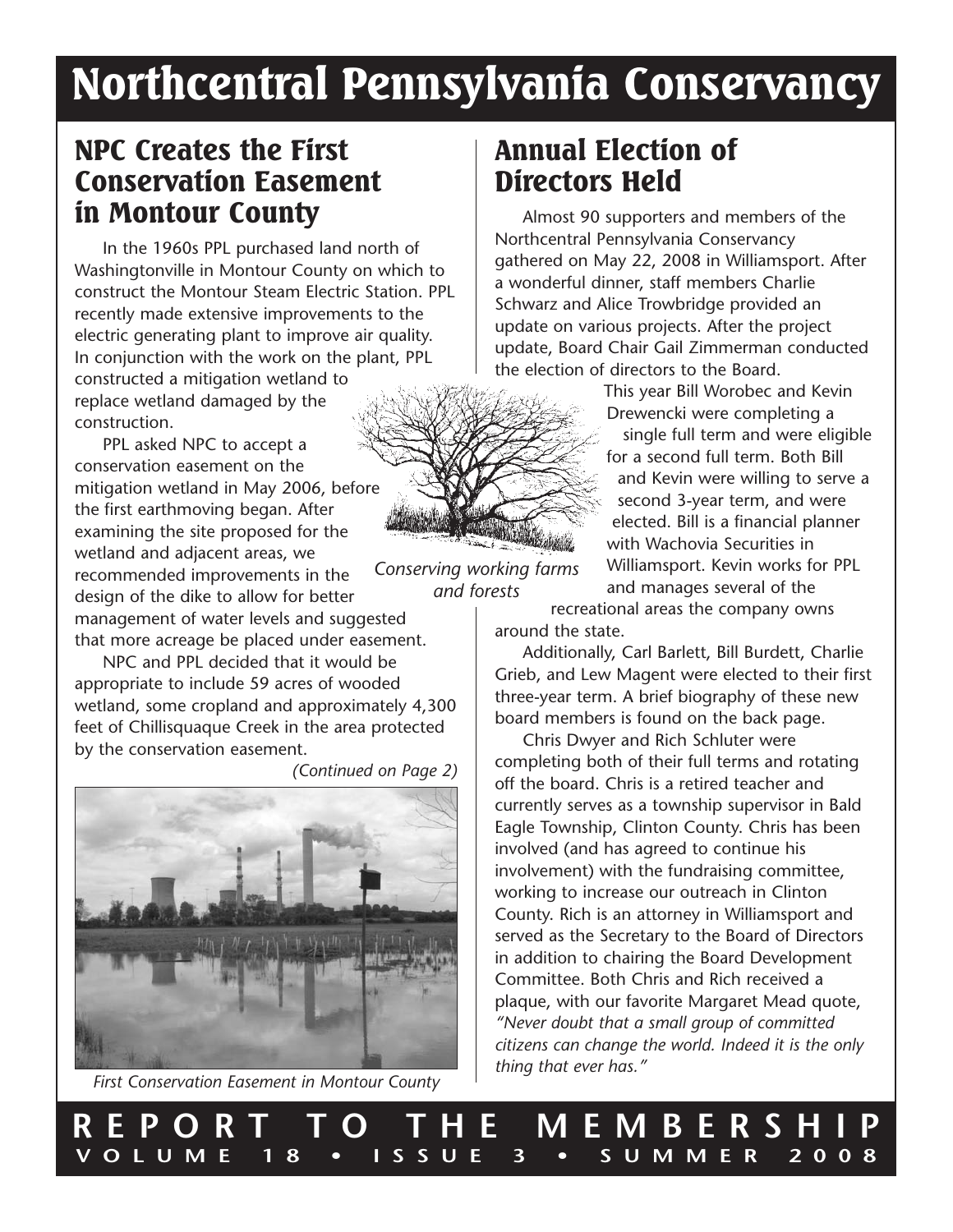# Northcentral Pennsylvania Conservancy

*and forests*

### NPC Creates the First Conservation Easement in Montour County

In the 1960s PPL purchased land north of Washingtonville in Montour County on which to construct the Montour Steam Electric Station. PPL recently made extensive improvements to the electric generating plant to improve air quality. In conjunction with the work on the plant, PPL constructed a mitigation wetland to replace wetland damaged by the construction.

*Conserving working farms* PPL asked NPC to accept a conservation easement on the mitigation wetland in May 2006, before the first earthmoving began. After examining the site proposed for the wetland and adjacent areas, we recommended improvements in the design of the dike to allow for better management of water levels and suggested that more acreage be placed under easement.

NPC and PPL decided that it would be appropriate to include 59 acres of wooded wetland, some cropland and approximately 4,300 feet of Chillisquaque Creek in the area protected by the conservation easement.

*(Continued on Page 2)*



*First Conservation Easement in Montour County*

### Annual Election of Directors Held

Almost 90 supporters and members of the Northcentral Pennsylvania Conservancy gathered on May 22, 2008 in Williamsport. After a wonderful dinner, staff members Charlie Schwarz and Alice Trowbridge provided an update on various projects. After the project update, Board Chair Gail Zimmerman conducted the election of directors to the Board.

> This year Bill Worobec and Kevin Drewencki were completing a single full term and were eligible for a second full term. Both Bill and Kevin were willing to serve a second 3-year term, and were elected. Bill is a financial planner with Wachovia Securities in Williamsport. Kevin works for PPL and manages several of the

recreational areas the company owns around the state.

Additionally, Carl Barlett, Bill Burdett, Charlie Grieb, and Lew Magent were elected to their first three-year term. A brief biography of these new board members is found on the back page.

Chris Dwyer and Rich Schluter were completing both of their full terms and rotating off the board. Chris is a retired teacher and currently serves as a township supervisor in Bald Eagle Township, Clinton County. Chris has been involved (and has agreed to continue his involvement) with the fundraising committee, working to increase our outreach in Clinton County. Rich is an attorney in Williamsport and served as the Secretary to the Board of Directors in addition to chairing the Board Development Committee. Both Chris and Rich received a plaque, with our favorite Margaret Mead quote, *"Never doubt that a small group of committed citizens can change the world. Indeed it is the only thing that ever has."*

**REPORT TO THE MEMBERSHIP**

**VOLUME 18 • ISSUE 3 • SUMMER 2008**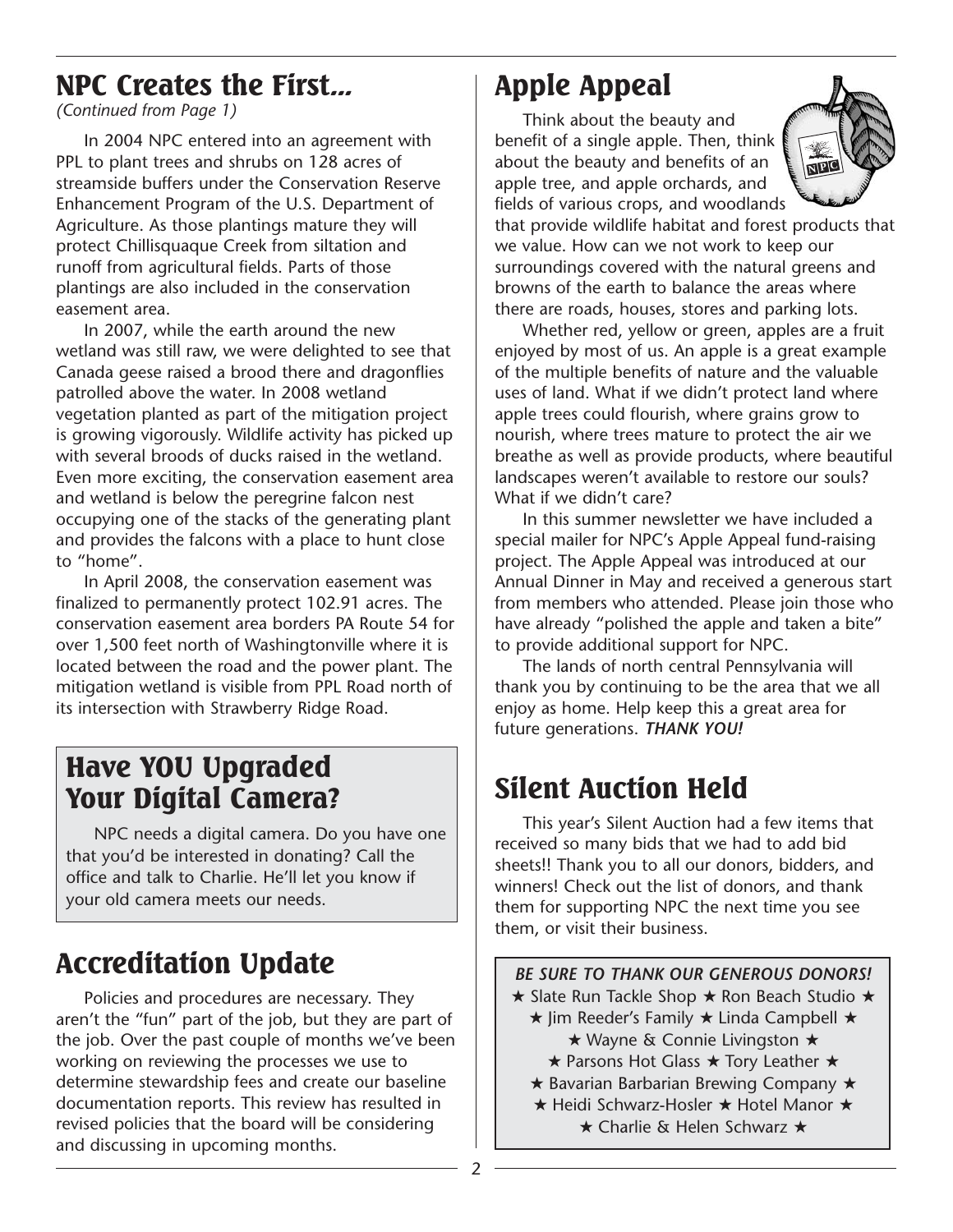### NPC Creates the First...

*(Continued from Page 1)*

In 2004 NPC entered into an agreement with PPL to plant trees and shrubs on 128 acres of streamside buffers under the Conservation Reserve Enhancement Program of the U.S. Department of Agriculture. As those plantings mature they will protect Chillisquaque Creek from siltation and runoff from agricultural fields. Parts of those plantings are also included in the conservation easement area.

In 2007, while the earth around the new wetland was still raw, we were delighted to see that Canada geese raised a brood there and dragonflies patrolled above the water. In 2008 wetland vegetation planted as part of the mitigation project is growing vigorously. Wildlife activity has picked up with several broods of ducks raised in the wetland. Even more exciting, the conservation easement area and wetland is below the peregrine falcon nest occupying one of the stacks of the generating plant and provides the falcons with a place to hunt close to "home".

In April 2008, the conservation easement was finalized to permanently protect 102.91 acres. The conservation easement area borders PA Route 54 for over 1,500 feet north of Washingtonville where it is located between the road and the power plant. The mitigation wetland is visible from PPL Road north of its intersection with Strawberry Ridge Road.

### Have YOU Upgraded Your Digital Camera?

NPC needs a digital camera. Do you have one that you'd be interested in donating? Call the office and talk to Charlie. He'll let you know if your old camera meets our needs.

# Accreditation Update

Policies and procedures are necessary. They aren't the "fun" part of the job, but they are part of the job. Over the past couple of months we've been working on reviewing the processes we use to determine stewardship fees and create our baseline documentation reports. This review has resulted in revised policies that the board will be considering and discussing in upcoming months.

# Apple Appeal

Think about the beauty and benefit of a single apple. Then, think about the beauty and benefits of an apple tree, and apple orchards, and fields of various crops, and woodlands



that provide wildlife habitat and forest products that we value. How can we not work to keep our surroundings covered with the natural greens and browns of the earth to balance the areas where there are roads, houses, stores and parking lots.

Whether red, yellow or green, apples are a fruit enjoyed by most of us. An apple is a great example of the multiple benefits of nature and the valuable uses of land. What if we didn't protect land where apple trees could flourish, where grains grow to nourish, where trees mature to protect the air we breathe as well as provide products, where beautiful landscapes weren't available to restore our souls? What if we didn't care?

In this summer newsletter we have included a special mailer for NPC's Apple Appeal fund-raising project. The Apple Appeal was introduced at our Annual Dinner in May and received a generous start from members who attended. Please join those who have already "polished the apple and taken a bite" to provide additional support for NPC.

The lands of north central Pennsylvania will thank you by continuing to be the area that we all enjoy as home. Help keep this a great area for future generations. *THANK YOU!*

# Silent Auction Held

This year's Silent Auction had a few items that received so many bids that we had to add bid sheets!! Thank you to all our donors, bidders, and winners! Check out the list of donors, and thank them for supporting NPC the next time you see them, or visit their business.

*BE SURE TO THANK OUR GENEROUS DONORS!* ★ Slate Run Tackle Shop ★ Ron Beach Studio ★ ★ Jim Reeder's Family ★ Linda Campbell ★ ★ Wayne & Connie Livingston ★ ★ Parsons Hot Glass ★ Tory Leather ★ ★ Bavarian Barbarian Brewing Company ★ ★ Heidi Schwarz-Hosler ★ Hotel Manor ★ ★ Charlie & Helen Schwarz ★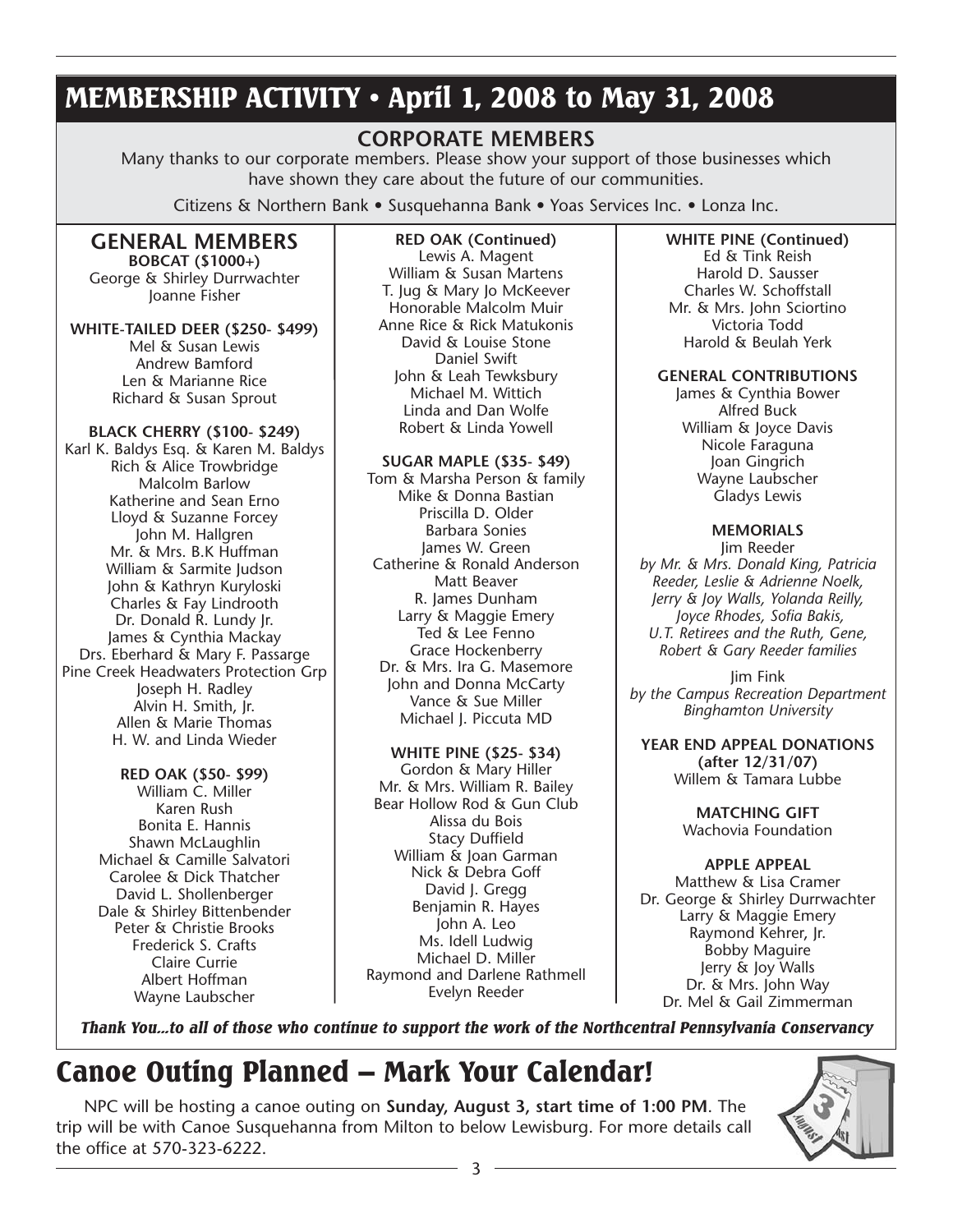### MEMBERSHIP ACTIVITY • April 1, 2008 to May 31, 2008

#### **CORPORATE MEMBERS**

Many thanks to our corporate members. Please show your support of those businesses which have shown they care about the future of our communities.

Citizens & Northern Bank • Susquehanna Bank • Yoas Services Inc. • Lonza Inc.

#### **GENERAL MEMBERS BOBCAT (\$1000+)**

George & Shirley Durrwachter Joanne Fisher

#### **WHITE-TAILED DEER (\$250- \$499)**

Mel & Susan Lewis Andrew Bamford Len & Marianne Rice Richard & Susan Sprout

#### **BLACK CHERRY (\$100- \$249)**

Karl K. Baldys Esq. & Karen M. Baldys Rich & Alice Trowbridge Malcolm Barlow Katherine and Sean Erno Lloyd & Suzanne Forcey John M. Hallgren Mr. & Mrs. B.K Huffman William & Sarmite Judson John & Kathryn Kuryloski Charles & Fay Lindrooth Dr. Donald R. Lundy Jr. James & Cynthia Mackay Drs. Eberhard & Mary F. Passarge Pine Creek Headwaters Protection Grp Joseph H. Radley Alvin H. Smith, Jr. Allen & Marie Thomas H. W. and Linda Wieder

#### **RED OAK (\$50- \$99)**

William C. Miller Karen Rush Bonita E. Hannis Shawn McLaughlin Michael & Camille Salvatori Carolee & Dick Thatcher David L. Shollenberger Dale & Shirley Bittenbender Peter & Christie Brooks Frederick S. Crafts Claire Currie Albert Hoffman Wayne Laubscher

**RED OAK (Continued)** Lewis A. Magent William & Susan Martens T. Jug & Mary Jo McKeever Honorable Malcolm Muir Anne Rice & Rick Matukonis David & Louise Stone Daniel Swift John & Leah Tewksbury Michael M. Wittich Linda and Dan Wolfe Robert & Linda Yowell

#### **SUGAR MAPLE (\$35- \$49)**

Tom & Marsha Person & family Mike & Donna Bastian Priscilla D. Older Barbara Sonies James W. Green Catherine & Ronald Anderson Matt Beaver R. James Dunham Larry & Maggie Emery Ted & Lee Fenno Grace Hockenberry Dr. & Mrs. Ira G. Masemore John and Donna McCarty Vance & Sue Miller Michael J. Piccuta MD

#### **WHITE PINE (\$25- \$34)**

Gordon & Mary Hiller Mr. & Mrs. William R. Bailey Bear Hollow Rod & Gun Club Alissa du Bois Stacy Duffield William & Joan Garman Nick & Debra Goff David J. Gregg Benjamin R. Hayes John A. Leo Ms. Idell Ludwig Michael D. Miller Raymond and Darlene Rathmell Evelyn Reeder

**WHITE PINE (Continued)** Ed & Tink Reish Harold D. Sausser Charles W. Schoffstall Mr. & Mrs. John Sciortino Victoria Todd Harold & Beulah Yerk

#### **GENERAL CONTRIBUTIONS**

James & Cynthia Bower Alfred Buck William & Joyce Davis Nicole Faraguna Joan Gingrich Wayne Laubscher Gladys Lewis

#### **MEMORIALS**

Jim Reeder *by Mr. & Mrs. Donald King, Patricia Reeder, Leslie & Adrienne Noelk, Jerry & Joy Walls, Yolanda Reilly, Joyce Rhodes, Sofia Bakis, U.T. Retirees and the Ruth, Gene, Robert & Gary Reeder families*

Jim Fink *by the Campus Recreation Department Binghamton University*

**YEAR END APPEAL DONATIONS (after 12/31/07)** Willem & Tamara Lubbe

> **MATCHING GIFT** Wachovia Foundation

#### **APPLE APPEAL**

Matthew & Lisa Cramer Dr. George & Shirley Durrwachter Larry & Maggie Emery Raymond Kehrer, Jr. Bobby Maguire Jerry & Joy Walls Dr. & Mrs. John Way Dr. Mel & Gail Zimmerman

*Thank You...to all of those who continue to support the work of the Northcentral Pennsylvania Conservancy*

# Canoe Outing Planned – Mark Your Calendar!

NPC will be hosting a canoe outing on **Sunday, August 3, start time of 1:00 PM**. The trip will be with Canoe Susquehanna from Milton to below Lewisburg. For more details call the office at 570-323-6222.